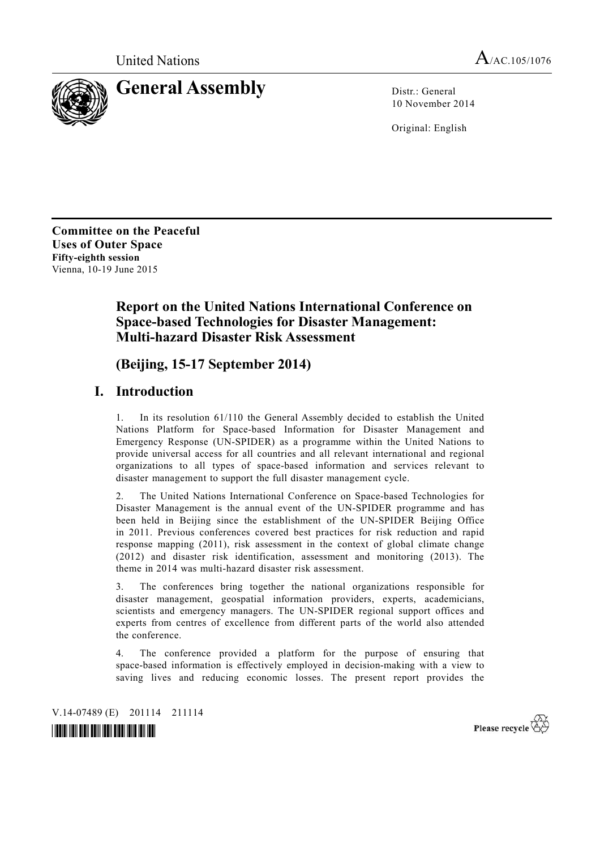

10 November 2014

Original: English

**Committee on the Peaceful Uses of Outer Space Fifty-eighth session**  Vienna, 10-19 June 2015

# **Report on the United Nations International Conference on Space-based Technologies for Disaster Management: Multi-hazard Disaster Risk Assessment**

# **(Beijing, 15-17 September 2014)**

## **I. Introduction**

1. In its resolution 61/110 the General Assembly decided to establish the United Nations Platform for Space-based Information for Disaster Management and Emergency Response (UN-SPIDER) as a programme within the United Nations to provide universal access for all countries and all relevant international and regional organizations to all types of space-based information and services relevant to disaster management to support the full disaster management cycle.

2. The United Nations International Conference on Space-based Technologies for Disaster Management is the annual event of the UN-SPIDER programme and has been held in Beijing since the establishment of the UN-SPIDER Beijing Office in 2011. Previous conferences covered best practices for risk reduction and rapid response mapping (2011), risk assessment in the context of global climate change (2012) and disaster risk identification, assessment and monitoring (2013). The theme in 2014 was multi-hazard disaster risk assessment.

3. The conferences bring together the national organizations responsible for disaster management, geospatial information providers, experts, academicians, scientists and emergency managers. The UN-SPIDER regional support offices and experts from centres of excellence from different parts of the world also attended the conference.

The conference provided a platform for the purpose of ensuring that space-based information is effectively employed in decision-making with a view to saving lives and reducing economic losses. The present report provides the

V.14-07489 (E) 201114 211114



Please recycle  $\overleftrightarrow{C}$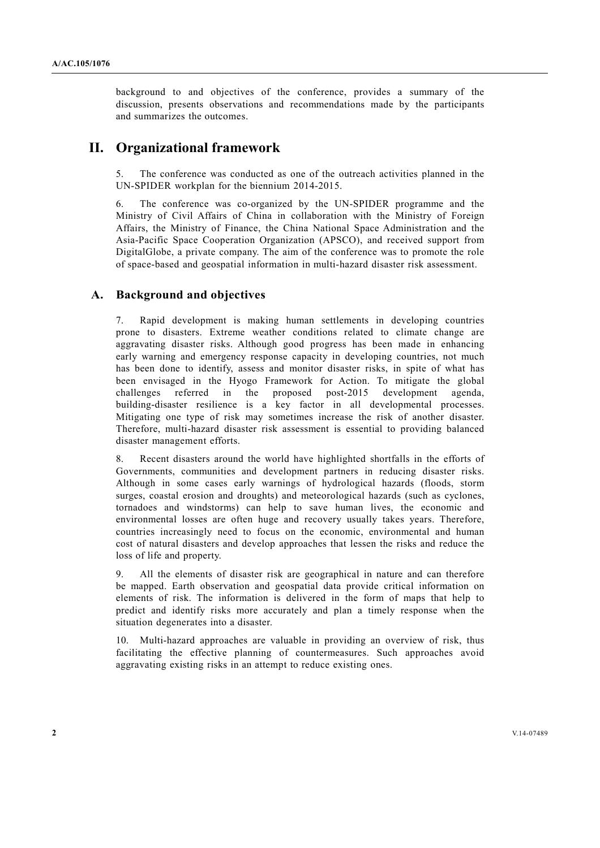background to and objectives of the conference, provides a summary of the discussion, presents observations and recommendations made by the participants and summarizes the outcomes.

## **II. Organizational framework**

The conference was conducted as one of the outreach activities planned in the UN-SPIDER workplan for the biennium 2014-2015.

6. The conference was co-organized by the UN-SPIDER programme and the Ministry of Civil Affairs of China in collaboration with the Ministry of Foreign Affairs, the Ministry of Finance, the China National Space Administration and the Asia-Pacific Space Cooperation Organization (APSCO), and received support from DigitalGlobe, a private company. The aim of the conference was to promote the role of space-based and geospatial information in multi-hazard disaster risk assessment.

### **A. Background and objectives**

7. Rapid development is making human settlements in developing countries prone to disasters. Extreme weather conditions related to climate change are aggravating disaster risks. Although good progress has been made in enhancing early warning and emergency response capacity in developing countries, not much has been done to identify, assess and monitor disaster risks, in spite of what has been envisaged in the Hyogo Framework for Action. To mitigate the global challenges referred in the proposed post-2015 development agenda, building-disaster resilience is a key factor in all developmental processes. Mitigating one type of risk may sometimes increase the risk of another disaster. Therefore, multi-hazard disaster risk assessment is essential to providing balanced disaster management efforts.

8. Recent disasters around the world have highlighted shortfalls in the efforts of Governments, communities and development partners in reducing disaster risks. Although in some cases early warnings of hydrological hazards (floods, storm surges, coastal erosion and droughts) and meteorological hazards (such as cyclones, tornadoes and windstorms) can help to save human lives, the economic and environmental losses are often huge and recovery usually takes years. Therefore, countries increasingly need to focus on the economic, environmental and human cost of natural disasters and develop approaches that lessen the risks and reduce the loss of life and property.

9. All the elements of disaster risk are geographical in nature and can therefore be mapped. Earth observation and geospatial data provide critical information on elements of risk. The information is delivered in the form of maps that help to predict and identify risks more accurately and plan a timely response when the situation degenerates into a disaster.

10. Multi-hazard approaches are valuable in providing an overview of risk, thus facilitating the effective planning of countermeasures. Such approaches avoid aggravating existing risks in an attempt to reduce existing ones.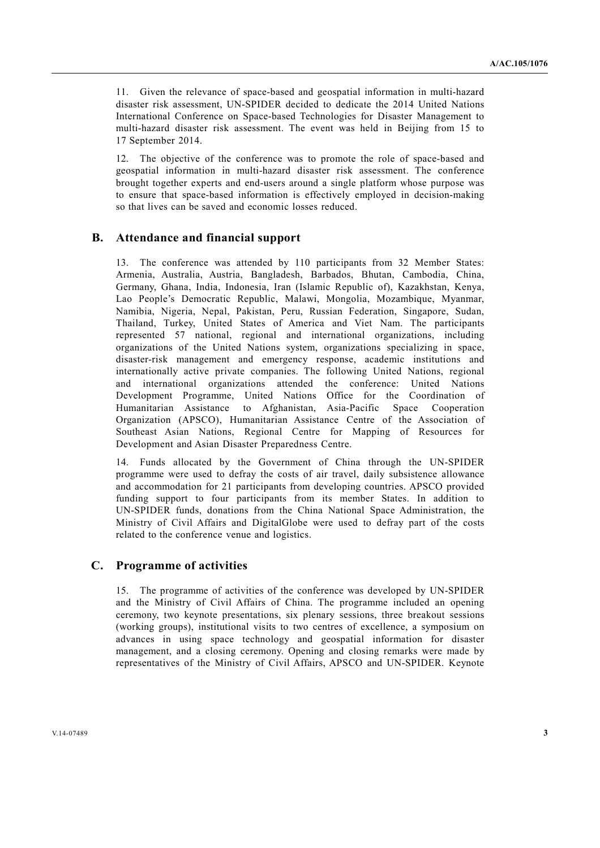11. Given the relevance of space-based and geospatial information in multi-hazard disaster risk assessment, UN-SPIDER decided to dedicate the 2014 United Nations International Conference on Space-based Technologies for Disaster Management to multi-hazard disaster risk assessment. The event was held in Beijing from 15 to 17 September 2014.

12. The objective of the conference was to promote the role of space-based and geospatial information in multi-hazard disaster risk assessment. The conference brought together experts and end-users around a single platform whose purpose was to ensure that space-based information is effectively employed in decision-making so that lives can be saved and economic losses reduced.

### **B. Attendance and financial support**

13. The conference was attended by 110 participants from 32 Member States: Armenia, Australia, Austria, Bangladesh, Barbados, Bhutan, Cambodia, China, Germany, Ghana, India, Indonesia, Iran (Islamic Republic of), Kazakhstan, Kenya, Lao People's Democratic Republic, Malawi, Mongolia, Mozambique, Myanmar, Namibia, Nigeria, Nepal, Pakistan, Peru, Russian Federation, Singapore, Sudan, Thailand, Turkey, United States of America and Viet Nam. The participants represented 57 national, regional and international organizations, including organizations of the United Nations system, organizations specializing in space, disaster-risk management and emergency response, academic institutions and internationally active private companies. The following United Nations, regional and international organizations attended the conference: United Nations Development Programme, United Nations Office for the Coordination of Humanitarian Assistance to Afghanistan, Asia-Pacific Space Cooperation Organization (APSCO), Humanitarian Assistance Centre of the Association of Southeast Asian Nations, Regional Centre for Mapping of Resources for Development and Asian Disaster Preparedness Centre.

14. Funds allocated by the Government of China through the UN-SPIDER programme were used to defray the costs of air travel, daily subsistence allowance and accommodation for 21 participants from developing countries. APSCO provided funding support to four participants from its member States. In addition to UN-SPIDER funds, donations from the China National Space Administration, the Ministry of Civil Affairs and DigitalGlobe were used to defray part of the costs related to the conference venue and logistics.

#### **C. Programme of activities**

15. The programme of activities of the conference was developed by UN-SPIDER and the Ministry of Civil Affairs of China. The programme included an opening ceremony, two keynote presentations, six plenary sessions, three breakout sessions (working groups), institutional visits to two centres of excellence, a symposium on advances in using space technology and geospatial information for disaster management, and a closing ceremony. Opening and closing remarks were made by representatives of the Ministry of Civil Affairs, APSCO and UN-SPIDER. Keynote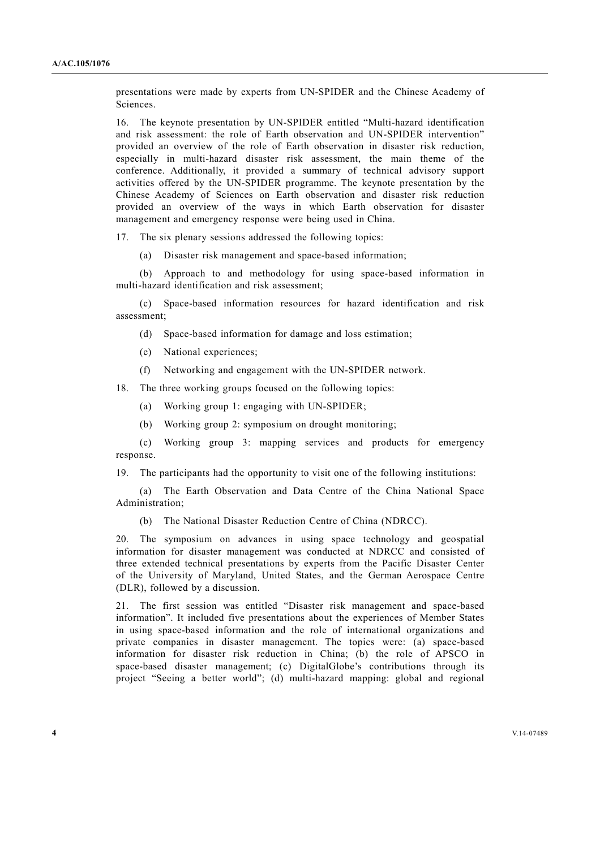presentations were made by experts from UN-SPIDER and the Chinese Academy of Sciences.

16. The keynote presentation by UN-SPIDER entitled "Multi-hazard identification and risk assessment: the role of Earth observation and UN-SPIDER intervention" provided an overview of the role of Earth observation in disaster risk reduction, especially in multi-hazard disaster risk assessment, the main theme of the conference. Additionally, it provided a summary of technical advisory support activities offered by the UN-SPIDER programme. The keynote presentation by the Chinese Academy of Sciences on Earth observation and disaster risk reduction provided an overview of the ways in which Earth observation for disaster management and emergency response were being used in China.

17. The six plenary sessions addressed the following topics:

(a) Disaster risk management and space-based information;

 (b) Approach to and methodology for using space-based information in multi-hazard identification and risk assessment;

 (c) Space-based information resources for hazard identification and risk assessment;

- (d) Space-based information for damage and loss estimation;
- (e) National experiences;
- (f) Networking and engagement with the UN-SPIDER network.

18. The three working groups focused on the following topics:

- (a) Working group 1: engaging with UN-SPIDER;
- (b) Working group 2: symposium on drought monitoring;

 (c) Working group 3: mapping services and products for emergency response.

19. The participants had the opportunity to visit one of the following institutions:

 (a) The Earth Observation and Data Centre of the China National Space Administration;

(b) The National Disaster Reduction Centre of China (NDRCC).

20. The symposium on advances in using space technology and geospatial information for disaster management was conducted at NDRCC and consisted of three extended technical presentations by experts from the Pacific Disaster Center of the University of Maryland, United States, and the German Aerospace Centre (DLR), followed by a discussion.

21. The first session was entitled "Disaster risk management and space-based information". It included five presentations about the experiences of Member States in using space-based information and the role of international organizations and private companies in disaster management. The topics were: (a) space-based information for disaster risk reduction in China; (b) the role of APSCO in space-based disaster management; (c) DigitalGlobe's contributions through its project "Seeing a better world"; (d) multi-hazard mapping: global and regional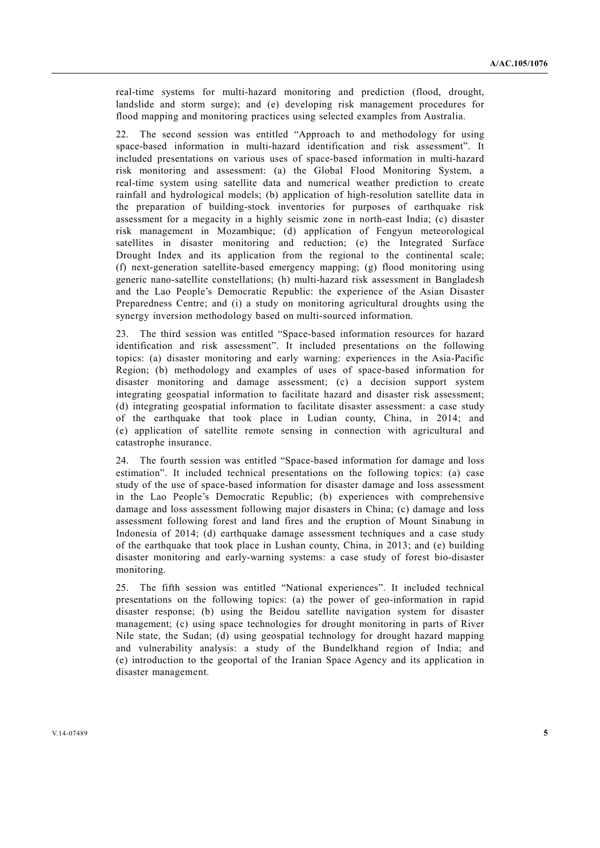real-time systems for multi-hazard monitoring and prediction (flood, drought, landslide and storm surge); and (e) developing risk management procedures for flood mapping and monitoring practices using selected examples from Australia.

22. The second session was entitled "Approach to and methodology for using space-based information in multi-hazard identification and risk assessment". It included presentations on various uses of space-based information in multi-hazard risk monitoring and assessment: (a) the Global Flood Monitoring System, a real-time system using satellite data and numerical weather prediction to create rainfall and hydrological models; (b) application of high-resolution satellite data in the preparation of building-stock inventories for purposes of earthquake risk assessment for a megacity in a highly seismic zone in north-east India; (c) disaster risk management in Mozambique; (d) application of Fengyun meteorological satellites in disaster monitoring and reduction; (e) the Integrated Surface Drought Index and its application from the regional to the continental scale; (f) next-generation satellite-based emergency mapping; (g) flood monitoring using generic nano-satellite constellations; (h) multi-hazard risk assessment in Bangladesh and the Lao People's Democratic Republic: the experience of the Asian Disaster Preparedness Centre; and (i) a study on monitoring agricultural droughts using the synergy inversion methodology based on multi-sourced information.

23. The third session was entitled "Space-based information resources for hazard identification and risk assessment". It included presentations on the following topics: (a) disaster monitoring and early warning: experiences in the Asia-Pacific Region; (b) methodology and examples of uses of space-based information for disaster monitoring and damage assessment; (c) a decision support system integrating geospatial information to facilitate hazard and disaster risk assessment; (d) integrating geospatial information to facilitate disaster assessment: a case study of the earthquake that took place in Ludian county, China, in 2014; and (e) application of satellite remote sensing in connection with agricultural and catastrophe insurance.

24. The fourth session was entitled "Space-based information for damage and loss estimation". It included technical presentations on the following topics: (a) case study of the use of space-based information for disaster damage and loss assessment in the Lao People's Democratic Republic; (b) experiences with comprehensive damage and loss assessment following major disasters in China; (c) damage and loss assessment following forest and land fires and the eruption of Mount Sinabung in Indonesia of 2014; (d) earthquake damage assessment techniques and a case study of the earthquake that took place in Lushan county, China, in 2013; and (e) building disaster monitoring and early-warning systems: a case study of forest bio-disaster monitoring.

25. The fifth session was entitled "National experiences". It included technical presentations on the following topics: (a) the power of geo-information in rapid disaster response; (b) using the Beidou satellite navigation system for disaster management; (c) using space technologies for drought monitoring in parts of River Nile state, the Sudan; (d) using geospatial technology for drought hazard mapping and vulnerability analysis: a study of the Bundelkhand region of India; and (e) introduction to the geoportal of the Iranian Space Agency and its application in disaster management.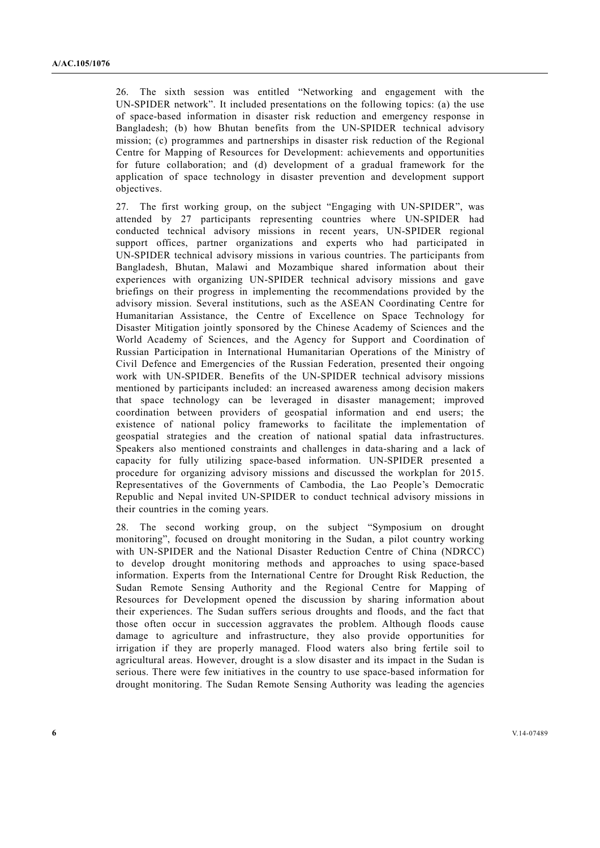26. The sixth session was entitled "Networking and engagement with the UN-SPIDER network". It included presentations on the following topics: (a) the use of space-based information in disaster risk reduction and emergency response in Bangladesh; (b) how Bhutan benefits from the UN-SPIDER technical advisory mission; (c) programmes and partnerships in disaster risk reduction of the Regional Centre for Mapping of Resources for Development: achievements and opportunities for future collaboration; and (d) development of a gradual framework for the application of space technology in disaster prevention and development support objectives.

27. The first working group, on the subject "Engaging with UN-SPIDER", was attended by 27 participants representing countries where UN-SPIDER had conducted technical advisory missions in recent years, UN-SPIDER regional support offices, partner organizations and experts who had participated in UN-SPIDER technical advisory missions in various countries. The participants from Bangladesh, Bhutan, Malawi and Mozambique shared information about their experiences with organizing UN-SPIDER technical advisory missions and gave briefings on their progress in implementing the recommendations provided by the advisory mission. Several institutions, such as the ASEAN Coordinating Centre for Humanitarian Assistance, the Centre of Excellence on Space Technology for Disaster Mitigation jointly sponsored by the Chinese Academy of Sciences and the World Academy of Sciences, and the Agency for Support and Coordination of Russian Participation in International Humanitarian Operations of the Ministry of Civil Defence and Emergencies of the Russian Federation, presented their ongoing work with UN-SPIDER. Benefits of the UN-SPIDER technical advisory missions mentioned by participants included: an increased awareness among decision makers that space technology can be leveraged in disaster management; improved coordination between providers of geospatial information and end users; the existence of national policy frameworks to facilitate the implementation of geospatial strategies and the creation of national spatial data infrastructures. Speakers also mentioned constraints and challenges in data-sharing and a lack of capacity for fully utilizing space-based information. UN-SPIDER presented a procedure for organizing advisory missions and discussed the workplan for 2015. Representatives of the Governments of Cambodia, the Lao People's Democratic Republic and Nepal invited UN-SPIDER to conduct technical advisory missions in their countries in the coming years.

28. The second working group, on the subject "Symposium on drought monitoring", focused on drought monitoring in the Sudan, a pilot country working with UN-SPIDER and the National Disaster Reduction Centre of China (NDRCC) to develop drought monitoring methods and approaches to using space-based information. Experts from the International Centre for Drought Risk Reduction, the Sudan Remote Sensing Authority and the Regional Centre for Mapping of Resources for Development opened the discussion by sharing information about their experiences. The Sudan suffers serious droughts and floods, and the fact that those often occur in succession aggravates the problem. Although floods cause damage to agriculture and infrastructure, they also provide opportunities for irrigation if they are properly managed. Flood waters also bring fertile soil to agricultural areas. However, drought is a slow disaster and its impact in the Sudan is serious. There were few initiatives in the country to use space-based information for drought monitoring. The Sudan Remote Sensing Authority was leading the agencies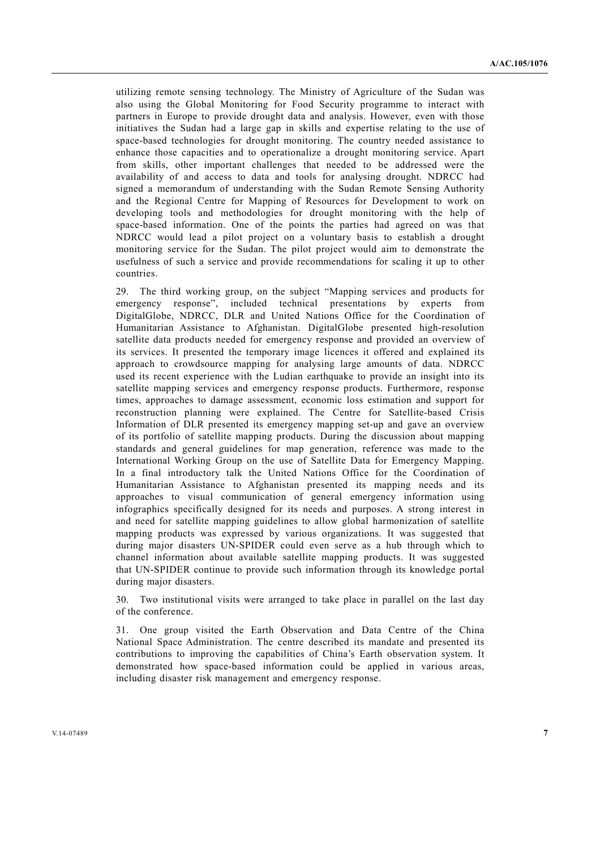utilizing remote sensing technology. The Ministry of Agriculture of the Sudan was also using the Global Monitoring for Food Security programme to interact with partners in Europe to provide drought data and analysis. However, even with those initiatives the Sudan had a large gap in skills and expertise relating to the use of space-based technologies for drought monitoring. The country needed assistance to enhance those capacities and to operationalize a drought monitoring service. Apart from skills, other important challenges that needed to be addressed were the availability of and access to data and tools for analysing drought. NDRCC had signed a memorandum of understanding with the Sudan Remote Sensing Authority and the Regional Centre for Mapping of Resources for Development to work on developing tools and methodologies for drought monitoring with the help of space-based information. One of the points the parties had agreed on was that NDRCC would lead a pilot project on a voluntary basis to establish a drought monitoring service for the Sudan. The pilot project would aim to demonstrate the usefulness of such a service and provide recommendations for scaling it up to other countries.

29. The third working group, on the subject "Mapping services and products for emergency response", included technical presentations by experts from DigitalGlobe, NDRCC, DLR and United Nations Office for the Coordination of Humanitarian Assistance to Afghanistan. DigitalGlobe presented high-resolution satellite data products needed for emergency response and provided an overview of its services. It presented the temporary image licences it offered and explained its approach to crowdsource mapping for analysing large amounts of data. NDRCC used its recent experience with the Ludian earthquake to provide an insight into its satellite mapping services and emergency response products. Furthermore, response times, approaches to damage assessment, economic loss estimation and support for reconstruction planning were explained. The Centre for Satellite-based Crisis Information of DLR presented its emergency mapping set-up and gave an overview of its portfolio of satellite mapping products. During the discussion about mapping standards and general guidelines for map generation, reference was made to the International Working Group on the use of Satellite Data for Emergency Mapping. In a final introductory talk the United Nations Office for the Coordination of Humanitarian Assistance to Afghanistan presented its mapping needs and its approaches to visual communication of general emergency information using infographics specifically designed for its needs and purposes. A strong interest in and need for satellite mapping guidelines to allow global harmonization of satellite mapping products was expressed by various organizations. It was suggested that during major disasters UN-SPIDER could even serve as a hub through which to channel information about available satellite mapping products. It was suggested that UN-SPIDER continue to provide such information through its knowledge portal during major disasters.

30. Two institutional visits were arranged to take place in parallel on the last day of the conference.

31. One group visited the Earth Observation and Data Centre of the China National Space Administration. The centre described its mandate and presented its contributions to improving the capabilities of China's Earth observation system. It demonstrated how space-based information could be applied in various areas, including disaster risk management and emergency response.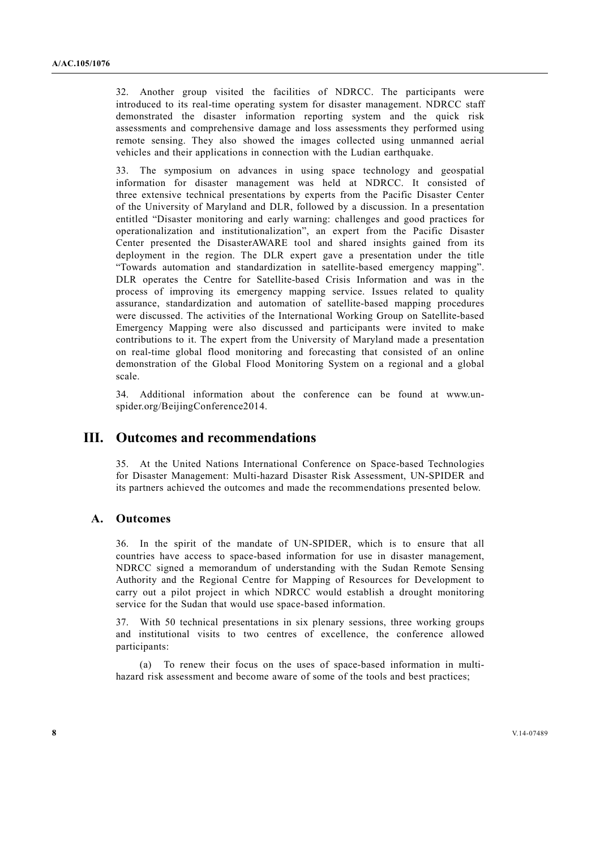32. Another group visited the facilities of NDRCC. The participants were introduced to its real-time operating system for disaster management. NDRCC staff demonstrated the disaster information reporting system and the quick risk assessments and comprehensive damage and loss assessments they performed using remote sensing. They also showed the images collected using unmanned aerial vehicles and their applications in connection with the Ludian earthquake.

33. The symposium on advances in using space technology and geospatial information for disaster management was held at NDRCC. It consisted of three extensive technical presentations by experts from the Pacific Disaster Center of the University of Maryland and DLR, followed by a discussion. In a presentation entitled "Disaster monitoring and early warning: challenges and good practices for operationalization and institutionalization", an expert from the Pacific Disaster Center presented the DisasterAWARE tool and shared insights gained from its deployment in the region. The DLR expert gave a presentation under the title "Towards automation and standardization in satellite-based emergency mapping". DLR operates the Centre for Satellite-based Crisis Information and was in the process of improving its emergency mapping service. Issues related to quality assurance, standardization and automation of satellite-based mapping procedures were discussed. The activities of the International Working Group on Satellite-based Emergency Mapping were also discussed and participants were invited to make contributions to it. The expert from the University of Maryland made a presentation on real-time global flood monitoring and forecasting that consisted of an online demonstration of the Global Flood Monitoring System on a regional and a global scale.

34. Additional information about the conference can be found at www.unspider.org/BeijingConference2014.

## **III. Outcomes and recommendations**

35. At the United Nations International Conference on Space-based Technologies for Disaster Management: Multi-hazard Disaster Risk Assessment, UN-SPIDER and its partners achieved the outcomes and made the recommendations presented below.

#### **A. Outcomes**

36. In the spirit of the mandate of UN-SPIDER, which is to ensure that all countries have access to space-based information for use in disaster management, NDRCC signed a memorandum of understanding with the Sudan Remote Sensing Authority and the Regional Centre for Mapping of Resources for Development to carry out a pilot project in which NDRCC would establish a drought monitoring service for the Sudan that would use space-based information.

37. With 50 technical presentations in six plenary sessions, three working groups and institutional visits to two centres of excellence, the conference allowed participants:

 (a) To renew their focus on the uses of space-based information in multihazard risk assessment and become aware of some of the tools and best practices;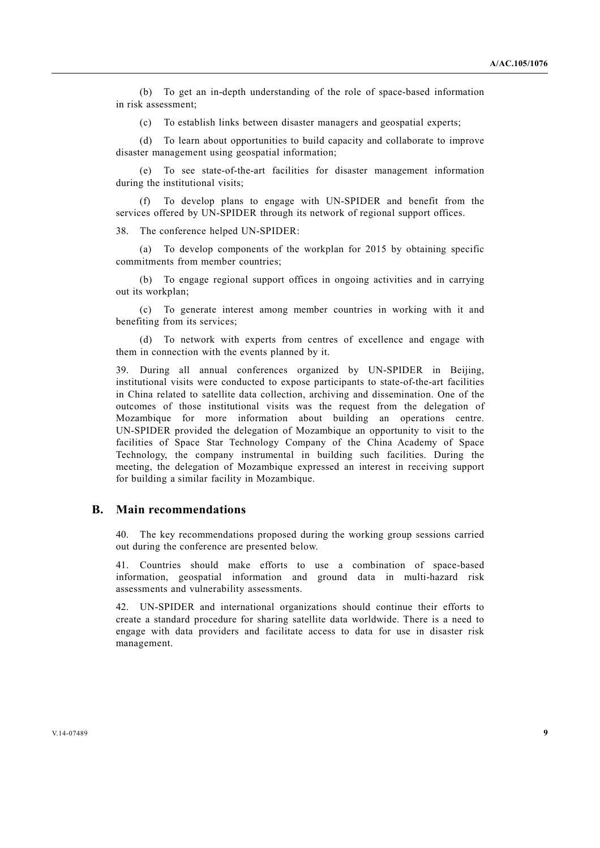(b) To get an in-depth understanding of the role of space-based information in risk assessment;

(c) To establish links between disaster managers and geospatial experts;

 (d) To learn about opportunities to build capacity and collaborate to improve disaster management using geospatial information;

 (e) To see state-of-the-art facilities for disaster management information during the institutional visits;

To develop plans to engage with UN-SPIDER and benefit from the services offered by UN-SPIDER through its network of regional support offices.

38. The conference helped UN-SPIDER:

 (a) To develop components of the workplan for 2015 by obtaining specific commitments from member countries;

 (b) To engage regional support offices in ongoing activities and in carrying out its workplan;

 (c) To generate interest among member countries in working with it and benefiting from its services;

 (d) To network with experts from centres of excellence and engage with them in connection with the events planned by it.

39. During all annual conferences organized by UN-SPIDER in Beijing, institutional visits were conducted to expose participants to state-of-the-art facilities in China related to satellite data collection, archiving and dissemination. One of the outcomes of those institutional visits was the request from the delegation of Mozambique for more information about building an operations centre. UN-SPIDER provided the delegation of Mozambique an opportunity to visit to the facilities of Space Star Technology Company of the China Academy of Space Technology, the company instrumental in building such facilities. During the meeting, the delegation of Mozambique expressed an interest in receiving support for building a similar facility in Mozambique.

#### **B. Main recommendations**

40. The key recommendations proposed during the working group sessions carried out during the conference are presented below.

41. Countries should make efforts to use a combination of space-based information, geospatial information and ground data in multi-hazard risk assessments and vulnerability assessments.

42. UN-SPIDER and international organizations should continue their efforts to create a standard procedure for sharing satellite data worldwide. There is a need to engage with data providers and facilitate access to data for use in disaster risk management.